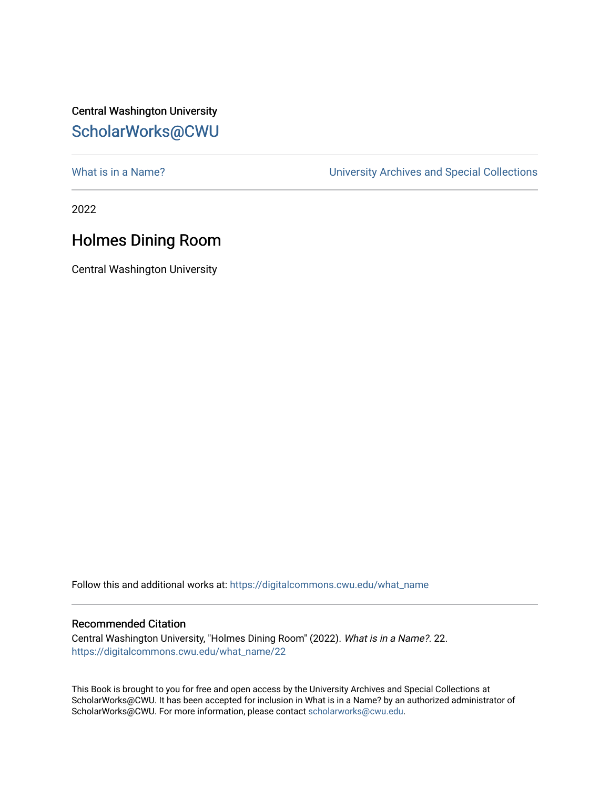Central Washington University [ScholarWorks@CWU](https://digitalcommons.cwu.edu/) 

[What is in a Name?](https://digitalcommons.cwu.edu/what_name) **What is in a Name?** University Archives and Special Collections

2022

## Holmes Dining Room

Central Washington University

Follow this and additional works at: [https://digitalcommons.cwu.edu/what\\_name](https://digitalcommons.cwu.edu/what_name?utm_source=digitalcommons.cwu.edu%2Fwhat_name%2F22&utm_medium=PDF&utm_campaign=PDFCoverPages) 

## Recommended Citation

Central Washington University, "Holmes Dining Room" (2022). What is in a Name?. 22. [https://digitalcommons.cwu.edu/what\\_name/22](https://digitalcommons.cwu.edu/what_name/22?utm_source=digitalcommons.cwu.edu%2Fwhat_name%2F22&utm_medium=PDF&utm_campaign=PDFCoverPages) 

This Book is brought to you for free and open access by the University Archives and Special Collections at ScholarWorks@CWU. It has been accepted for inclusion in What is in a Name? by an authorized administrator of ScholarWorks@CWU. For more information, please contact [scholarworks@cwu.edu](mailto:scholarworks@cwu.edu).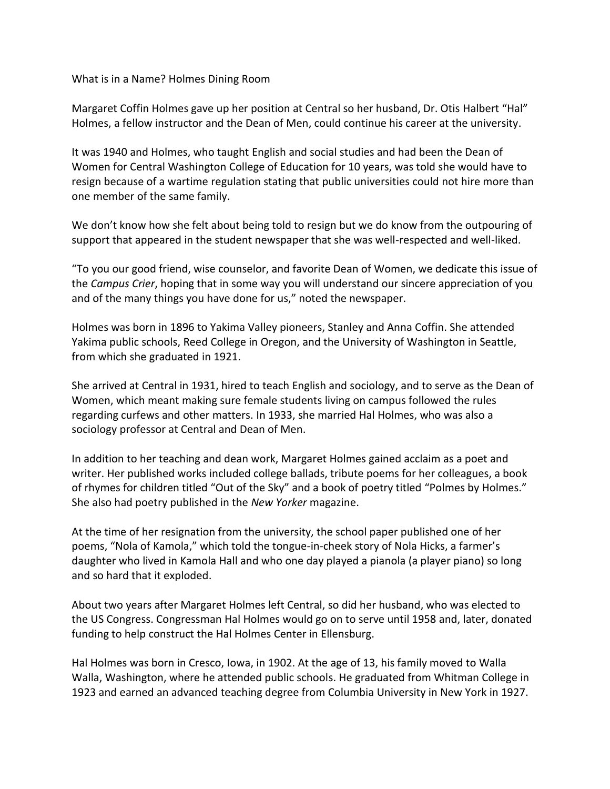## What is in a Name? Holmes Dining Room

Margaret Coffin Holmes gave up her position at Central so her husband, Dr. Otis Halbert "Hal" Holmes, a fellow instructor and the Dean of Men, could continue his career at the university.

It was 1940 and Holmes, who taught English and social studies and had been the Dean of Women for Central Washington College of Education for 10 years, was told she would have to resign because of a wartime regulation stating that public universities could not hire more than one member of the same family.

We don't know how she felt about being told to resign but we do know from the outpouring of support that appeared in the student newspaper that she was well-respected and well-liked.

"To you our good friend, wise counselor, and favorite Dean of Women, we dedicate this issue of the *Campus Crier*, hoping that in some way you will understand our sincere appreciation of you and of the many things you have done for us," noted the newspaper.

Holmes was born in 1896 to Yakima Valley pioneers, Stanley and Anna Coffin. She attended Yakima public schools, Reed College in Oregon, and the University of Washington in Seattle, from which she graduated in 1921.

She arrived at Central in 1931, hired to teach English and sociology, and to serve as the Dean of Women, which meant making sure female students living on campus followed the rules regarding curfews and other matters. In 1933, she married Hal Holmes, who was also a sociology professor at Central and Dean of Men.

In addition to her teaching and dean work, Margaret Holmes gained acclaim as a poet and writer. Her published works included college ballads, tribute poems for her colleagues, a book of rhymes for children titled "Out of the Sky" and a book of poetry titled "Polmes by Holmes." She also had poetry published in the *New Yorker* magazine.

At the time of her resignation from the university, the school paper published one of her poems, "Nola of Kamola," which told the tongue-in-cheek story of Nola Hicks, a farmer's daughter who lived in Kamola Hall and who one day played a pianola (a player piano) so long and so hard that it exploded.

About two years after Margaret Holmes left Central, so did her husband, who was elected to the US Congress. Congressman Hal Holmes would go on to serve until 1958 and, later, donated funding to help construct the Hal Holmes Center in Ellensburg.

Hal Holmes was born in Cresco, Iowa, in 1902. At the age of 13, his family moved to Walla Walla, Washington, where he attended public schools. He graduated from Whitman College in 1923 and earned an advanced teaching degree from Columbia University in New York in 1927.